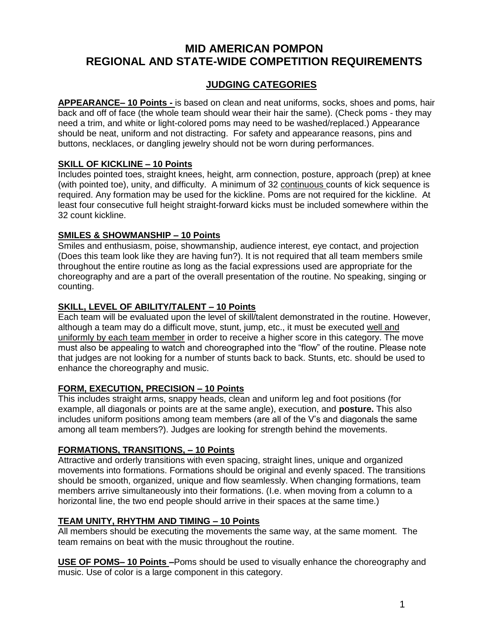# **MID AMERICAN POMPON REGIONAL AND STATE-WIDE COMPETITION REQUIREMENTS**

## **JUDGING CATEGORIES**

**APPEARANCE– 10 Points -** is based on clean and neat uniforms, socks, shoes and poms, hair back and off of face (the whole team should wear their hair the same). (Check poms - they may need a trim, and white or light-colored poms may need to be washed/replaced.) Appearance should be neat, uniform and not distracting. For safety and appearance reasons, pins and buttons, necklaces, or dangling jewelry should not be worn during performances.

## **SKILL OF KICKLINE – 10 Points**

Includes pointed toes, straight knees, height, arm connection, posture, approach (prep) at knee (with pointed toe), unity, and difficulty. A minimum of 32 continuous counts of kick sequence is required. Any formation may be used for the kickline. Poms are not required for the kickline. At least four consecutive full height straight-forward kicks must be included somewhere within the 32 count kickline.

## **SMILES & SHOWMANSHIP – 10 Points**

Smiles and enthusiasm, poise, showmanship, audience interest, eye contact, and projection (Does this team look like they are having fun?). It is not required that all team members smile throughout the entire routine as long as the facial expressions used are appropriate for the choreography and are a part of the overall presentation of the routine. No speaking, singing or counting.

### **SKILL, LEVEL OF ABILITY/TALENT – 10 Points**

Each team will be evaluated upon the level of skill/talent demonstrated in the routine. However, although a team may do a difficult move, stunt, jump, etc., it must be executed well and uniformly by each team member in order to receive a higher score in this category. The move must also be appealing to watch and choreographed into the "flow" of the routine. Please note that judges are not looking for a number of stunts back to back. Stunts, etc. should be used to enhance the choreography and music.

## **FORM, EXECUTION, PRECISION – 10 Points**

This includes straight arms, snappy heads, clean and uniform leg and foot positions (for example, all diagonals or points are at the same angle), execution, and **posture.** This also includes uniform positions among team members (are all of the V's and diagonals the same among all team members?). Judges are looking for strength behind the movements.

#### **FORMATIONS, TRANSITIONS, – 10 Points**

Attractive and orderly transitions with even spacing, straight lines, unique and organized movements into formations. Formations should be original and evenly spaced. The transitions should be smooth, organized, unique and flow seamlessly. When changing formations, team members arrive simultaneously into their formations. (I.e. when moving from a column to a horizontal line, the two end people should arrive in their spaces at the same time.)

#### **TEAM UNITY, RHYTHM AND TIMING – 10 Points**

All members should be executing the movements the same way, at the same moment. The team remains on beat with the music throughout the routine.

**USE OF POMS– 10 Points –**Poms should be used to visually enhance the choreography and music. Use of color is a large component in this category.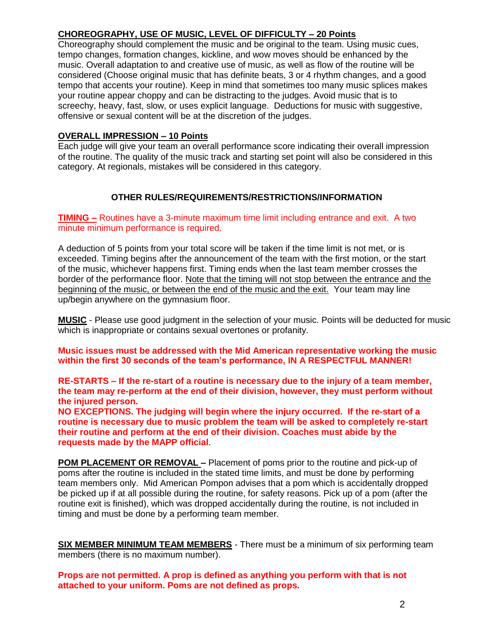## **CHOREOGRAPHY, USE OF MUSIC, LEVEL OF DIFFICULTY – 20 Points**

Choreography should complement the music and be original to the team. Using music cues, tempo changes, formation changes, kickline, and wow moves should be enhanced by the music. Overall adaptation to and creative use of music, as well as flow of the routine will be considered (Choose original music that has definite beats, 3 or 4 rhythm changes, and a good tempo that accents your routine). Keep in mind that sometimes too many music splices makes your routine appear choppy and can be distracting to the judges. Avoid music that is to screechy, heavy, fast, slow, or uses explicit language. Deductions for music with suggestive, offensive or sexual content will be at the discretion of the judges.

### **OVERALL IMPRESSION – 10 Points**

Each judge will give your team an overall performance score indicating their overall impression of the routine. The quality of the music track and starting set point will also be considered in this category. At regionals, mistakes will be considered in this category.

## **OTHER RULES/REQUIREMENTS/RESTRICTIONS/INFORMATION**

**TIMING –** Routines have a 3-minute maximum time limit including entrance and exit. A two minute minimum performance is required.

A deduction of 5 points from your total score will be taken if the time limit is not met, or is exceeded. Timing begins after the announcement of the team with the first motion, or the start of the music, whichever happens first. Timing ends when the last team member crosses the border of the performance floor. Note that the timing will not stop between the entrance and the beginning of the music, or between the end of the music and the exit. Your team may line up/begin anywhere on the gymnasium floor.

**MUSIC** - Please use good judgment in the selection of your music. Points will be deducted for music which is inappropriate or contains sexual overtones or profanity.

**Music issues must be addressed with the Mid American representative working the music within the first 30 seconds of the team's performance, IN A RESPECTFUL MANNER!**

**RE-STARTS – If the re-start of a routine is necessary due to the injury of a team member, the team may re-perform at the end of their division, however, they must perform without the injured person.** 

**NO EXCEPTIONS. The judging will begin where the injury occurred. If the re-start of a routine is necessary due to music problem the team will be asked to completely re-start their routine and perform at the end of their division. Coaches must abide by the requests made by the MAPP official**.

**POM PLACEMENT OR REMOVAL –** Placement of poms prior to the routine and pick-up of poms after the routine is included in the stated time limits, and must be done by performing team members only. Mid American Pompon advises that a pom which is accidentally dropped be picked up if at all possible during the routine, for safety reasons. Pick up of a pom (after the routine exit is finished), which was dropped accidentally during the routine, is not included in timing and must be done by a performing team member.

**SIX MEMBER MINIMUM TEAM MEMBERS** - There must be a minimum of six performing team members (there is no maximum number).

**Props are not permitted. A prop is defined as anything you perform with that is not attached to your uniform. Poms are not defined as props.**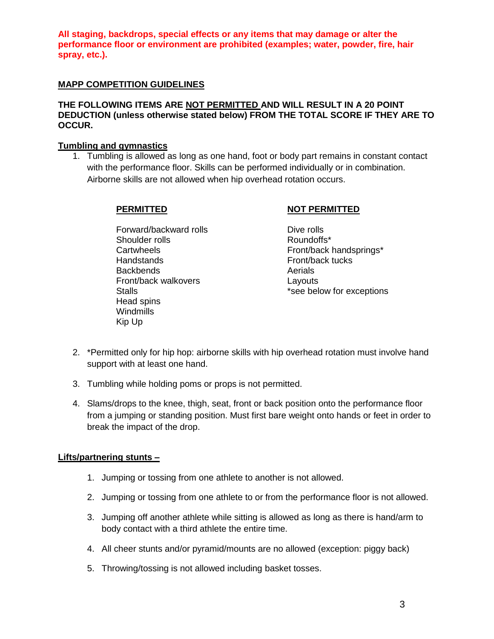**All staging, backdrops, special effects or any items that may damage or alter the performance floor or environment are prohibited (examples; water, powder, fire, hair spray, etc.).**

#### **MAPP COMPETITION GUIDELINES**

#### **THE FOLLOWING ITEMS ARE NOT PERMITTED AND WILL RESULT IN A 20 POINT DEDUCTION (unless otherwise stated below) FROM THE TOTAL SCORE IF THEY ARE TO OCCUR.**

#### **Tumbling and gymnastics**

1. Tumbling is allowed as long as one hand, foot or body part remains in constant contact with the performance floor. Skills can be performed individually or in combination. Airborne skills are not allowed when hip overhead rotation occurs.

Forward/backward rolls **Dive rolls** Shoulder rolls **Roundoffs**\* Handstands **Front/back** tucks Backbends **Aerials** Aerials Front/back walkovers **Layouts** Head spins **Windmills** Kip Up

#### **PERMITTED NOT PERMITTED**

- Cartwheels **Front/back handsprings\*** Stalls **Stalls Stalls Stalls EXCELL EXCELL EXCELL EXCELL EXCELL EXCELL EXCELL EXCELL EXCELL EXCELL EXCELL EXCELL**
- 2. \*Permitted only for hip hop: airborne skills with hip overhead rotation must involve hand support with at least one hand.
- 3. Tumbling while holding poms or props is not permitted.
- 4. Slams/drops to the knee, thigh, seat, front or back position onto the performance floor from a jumping or standing position. Must first bare weight onto hands or feet in order to break the impact of the drop.

#### **Lifts/partnering stunts –**

- 1. Jumping or tossing from one athlete to another is not allowed.
- 2. Jumping or tossing from one athlete to or from the performance floor is not allowed.
- 3. Jumping off another athlete while sitting is allowed as long as there is hand/arm to body contact with a third athlete the entire time.
- 4. All cheer stunts and/or pyramid/mounts are no allowed (exception: piggy back)
- 5. Throwing/tossing is not allowed including basket tosses.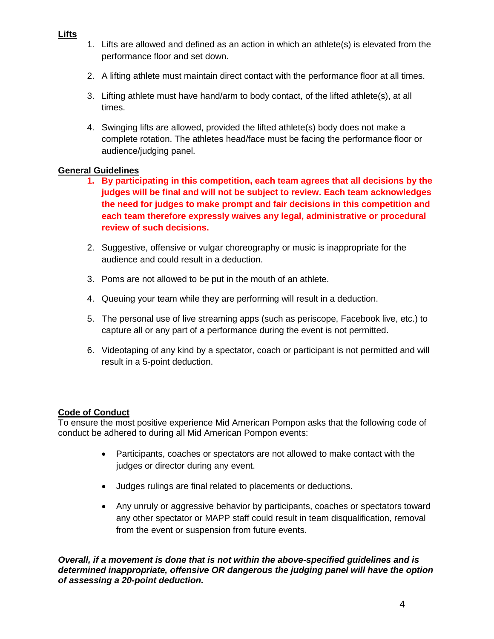- **Lifts**
- 1. Lifts are allowed and defined as an action in which an athlete(s) is elevated from the performance floor and set down.
- 2. A lifting athlete must maintain direct contact with the performance floor at all times.
- 3. Lifting athlete must have hand/arm to body contact, of the lifted athlete(s), at all times.
- 4. Swinging lifts are allowed, provided the lifted athlete(s) body does not make a complete rotation. The athletes head/face must be facing the performance floor or audience/judging panel.

## **General Guidelines**

- **1. By participating in this competition, each team agrees that all decisions by the judges will be final and will not be subject to review. Each team acknowledges the need for judges to make prompt and fair decisions in this competition and each team therefore expressly waives any legal, administrative or procedural review of such decisions.**
- 2. Suggestive, offensive or vulgar choreography or music is inappropriate for the audience and could result in a deduction.
- 3. Poms are not allowed to be put in the mouth of an athlete.
- 4. Queuing your team while they are performing will result in a deduction.
- 5. The personal use of live streaming apps (such as periscope, Facebook live, etc.) to capture all or any part of a performance during the event is not permitted.
- 6. Videotaping of any kind by a spectator, coach or participant is not permitted and will result in a 5-point deduction.

## **Code of Conduct**

To ensure the most positive experience Mid American Pompon asks that the following code of conduct be adhered to during all Mid American Pompon events:

- Participants, coaches or spectators are not allowed to make contact with the judges or director during any event.
- Judges rulings are final related to placements or deductions.
- Any unruly or aggressive behavior by participants, coaches or spectators toward any other spectator or MAPP staff could result in team disqualification, removal from the event or suspension from future events.

*Overall, if a movement is done that is not within the above-specified guidelines and is determined inappropriate, offensive OR dangerous the judging panel will have the option of assessing a 20-point deduction.*